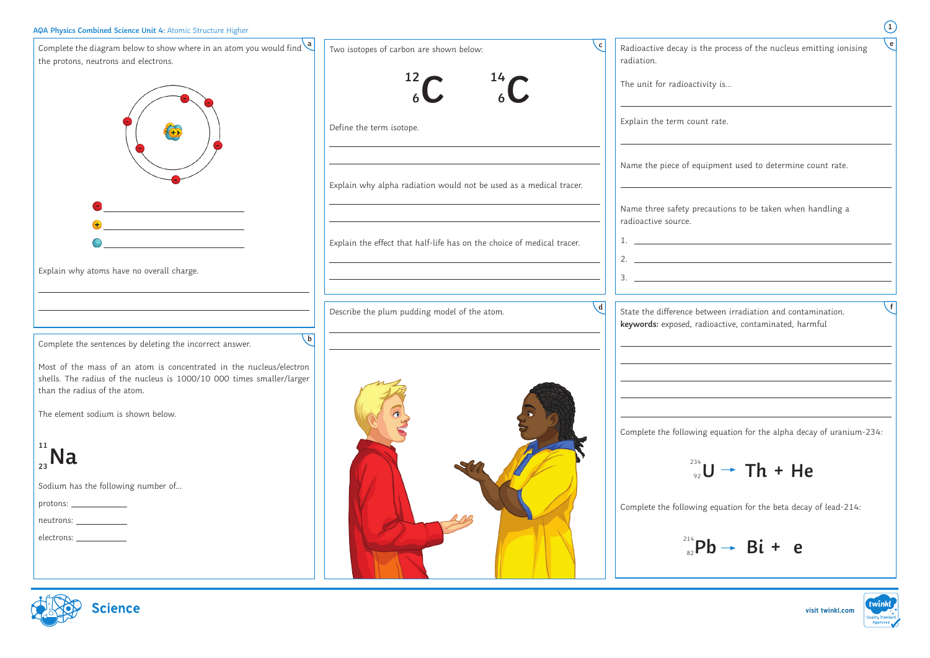**visit twinkl.com**

| AQA Physics Combined Science Unit 4: Atomic Structure Higher                                                                                                                                                                                             |                                                                        | $\begin{pmatrix} 1 \end{pmatrix}$                                                                                                                                                                                                                                                                                      |
|----------------------------------------------------------------------------------------------------------------------------------------------------------------------------------------------------------------------------------------------------------|------------------------------------------------------------------------|------------------------------------------------------------------------------------------------------------------------------------------------------------------------------------------------------------------------------------------------------------------------------------------------------------------------|
| Complete the diagram below to show where in an atom you would find $\frac{a}{a}$<br>the protons, neutrons and electrons.                                                                                                                                 | Two isotopes of carbon are shown below:<br>12<br>14                    | $\epsilon$<br>Radioactive decay is the process of the nucleus emitting ionising<br>radiation.<br>The unit for radioactivity is                                                                                                                                                                                         |
|                                                                                                                                                                                                                                                          | Define the term isotope.                                               | Explain the term count rate.                                                                                                                                                                                                                                                                                           |
|                                                                                                                                                                                                                                                          | Explain why alpha radiation would not be used as a medical tracer.     | Name the piece of equipment used to determine count rate.                                                                                                                                                                                                                                                              |
| $+$<br><u> 1980 - Jan Barat, martin a</u>                                                                                                                                                                                                                | Explain the effect that half-life has on the choice of medical tracer. | Name three safety precautions to be taken when handling a<br>radioactive source.                                                                                                                                                                                                                                       |
| Explain why atoms have no overall charge.                                                                                                                                                                                                                |                                                                        | 2. $\frac{1}{2}$ $\frac{1}{2}$ $\frac{1}{2}$ $\frac{1}{2}$ $\frac{1}{2}$ $\frac{1}{2}$ $\frac{1}{2}$ $\frac{1}{2}$ $\frac{1}{2}$ $\frac{1}{2}$ $\frac{1}{2}$ $\frac{1}{2}$ $\frac{1}{2}$ $\frac{1}{2}$ $\frac{1}{2}$ $\frac{1}{2}$ $\frac{1}{2}$ $\frac{1}{2}$ $\frac{1}{2}$ $\frac{1}{2}$ $\frac{1}{2}$ $\frac{1}{2}$ |
|                                                                                                                                                                                                                                                          | Describe the plum pudding model of the atom.                           | State the difference between irradiation and contamination.<br>keywords: exposed, radioactive, contaminated, harmful                                                                                                                                                                                                   |
| $\mathbf{b}$<br>Complete the sentences by deleting the incorrect answer.<br>Most of the mass of an atom is concentrated in the nucleus/electron<br>shells. The radius of the nucleus is 1000/10 000 times smaller/larger<br>than the radius of the atom. |                                                                        |                                                                                                                                                                                                                                                                                                                        |
| The element sodium is shown below.<br>$\int_{23}^{11}$ Na                                                                                                                                                                                                |                                                                        | Complete the following equation for the alpha decay of uranium-234:<br>$\frac{^{234}}{^{99}}U \rightarrow Th + He$                                                                                                                                                                                                     |
| Sodium has the following number of<br>$neutrons: \_\_\_\_\_\_\_$                                                                                                                                                                                         |                                                                        | Complete the following equation for the beta decay of lead-214:                                                                                                                                                                                                                                                        |
| electrons: ____________                                                                                                                                                                                                                                  |                                                                        | $^{214}_{\circ}Pb \rightarrow Bi + e$                                                                                                                                                                                                                                                                                  |



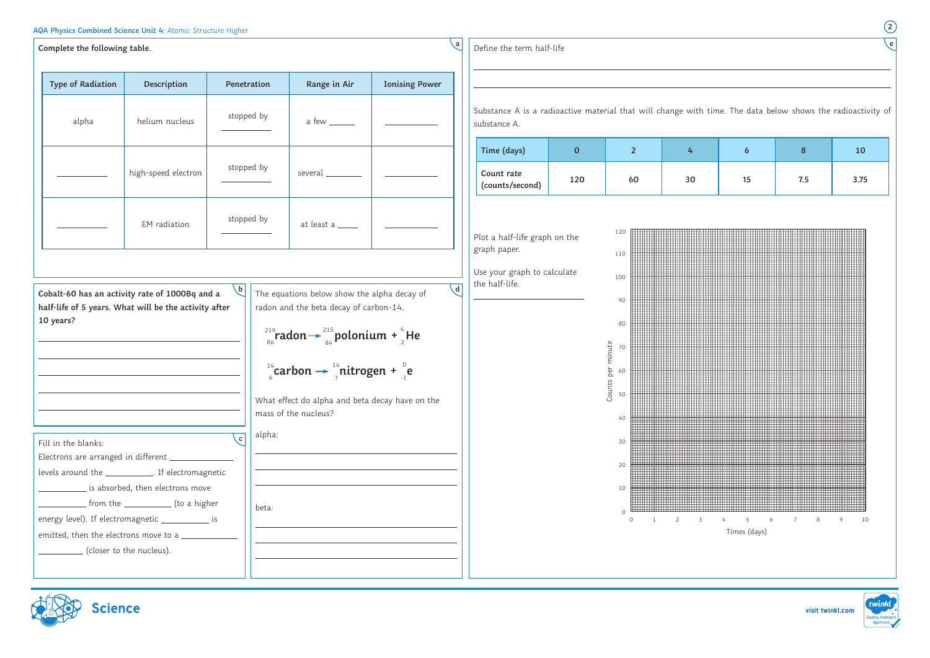**visit twinkl.com**

| $\mathbf{a}$<br>Complete the following table.                                                                                                                                                                     |                                                                                                      |              |                 |                                                                                                                                                                                                                                                                                                                                                                |                       |                | Define the term half-life                                                                                            |                         |                                                                                  |                |    |                    |                |      |
|-------------------------------------------------------------------------------------------------------------------------------------------------------------------------------------------------------------------|------------------------------------------------------------------------------------------------------|--------------|-----------------|----------------------------------------------------------------------------------------------------------------------------------------------------------------------------------------------------------------------------------------------------------------------------------------------------------------------------------------------------------------|-----------------------|----------------|----------------------------------------------------------------------------------------------------------------------|-------------------------|----------------------------------------------------------------------------------|----------------|----|--------------------|----------------|------|
| <b>Type of Radiation</b>                                                                                                                                                                                          | Description                                                                                          | Penetration  |                 | Range in Air                                                                                                                                                                                                                                                                                                                                                   | <b>Ionising Power</b> |                |                                                                                                                      |                         |                                                                                  |                |    |                    |                |      |
| alpha                                                                                                                                                                                                             | helium nucleus                                                                                       |              | stopped by      | a few ______                                                                                                                                                                                                                                                                                                                                                   |                       |                | Substance A is a radioactive material that will change with time. The data below shows the radioacti<br>substance A. |                         |                                                                                  |                |    |                    |                |      |
|                                                                                                                                                                                                                   |                                                                                                      |              |                 |                                                                                                                                                                                                                                                                                                                                                                |                       |                | Time (days)                                                                                                          | $\overline{\mathbf{0}}$ |                                                                                  | 2 <sup>1</sup> | 4  | $\boldsymbol{6}$   | 8 <sup>°</sup> | 10   |
|                                                                                                                                                                                                                   | high-speed electron                                                                                  | stopped by   |                 | several                                                                                                                                                                                                                                                                                                                                                        |                       |                | Count rate<br>(counts/second)                                                                                        | 120                     |                                                                                  | 60             | 30 | 15                 | 7.5            | 3.75 |
|                                                                                                                                                                                                                   | EM radiation                                                                                         | stopped by   |                 | at least a <b>____</b>                                                                                                                                                                                                                                                                                                                                         |                       |                | Plot a half-life graph on the                                                                                        |                         | 120                                                                              |                |    |                    |                |      |
|                                                                                                                                                                                                                   |                                                                                                      |              |                 |                                                                                                                                                                                                                                                                                                                                                                |                       |                | graph paper.<br>Use your graph to calculate                                                                          |                         | 110                                                                              |                |    |                    |                |      |
| Cobalt-60 has an activity rate of 1000Bq and a<br>half-life of 5 years. What will be the activity after<br>10 years?                                                                                              |                                                                                                      | $\mathsf{b}$ |                 | The equations below show the alpha decay of<br>radon and the beta decay of carbon-14.<br><sup>219</sup> <sub>86</sub> radon $\rightarrow$ <sup>215</sup> <sub>84</sub> polonium + $^{4}_{2}$ He<br>$\int_{0}^{14}$ carbon $\rightarrow$ $\frac{14}{7}$ nitrogen + $\int_{-1}^{0}$ e<br>What effect do alpha and beta decay have on the<br>mass of the nucleus? |                       | $\overline{d}$ | the half-life.                                                                                                       |                         | 100<br>90<br>80<br>per minute<br>70<br>60<br>$\ddot{\omega}$<br>Coun<br>50<br>40 |                |    |                    |                |      |
| Fill in the blanks:<br>Electrons are arranged in different _<br>levels around the _____________. If electromagnetic<br>energy level). If electromagnetic ____________ is<br>emitted, then the electrons move to a | is absorbed, then electrons move<br>from the ______________ (to a higher<br>(closer to the nucleus). | $\mathbf{c}$ | alpha:<br>beta: |                                                                                                                                                                                                                                                                                                                                                                |                       |                |                                                                                                                      |                         | 30<br>20<br>10                                                                   | $\Omega$       |    | -6<br>Times (days) |                |      |







**e**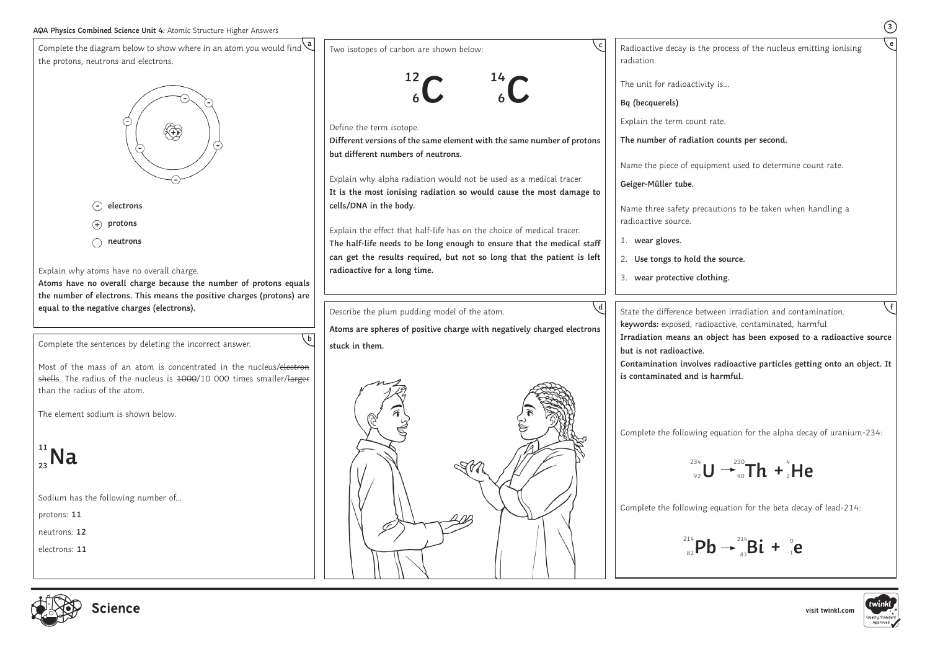

**e**

**Irradiation means an object has been exposed to a radioactive source** 

**Contamination involves radioactive particles getting onto an object. It**



**f**